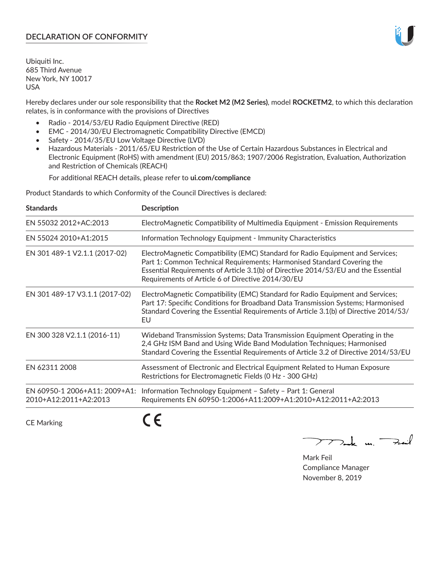# **DECLARATION OF CONFORMITY**

Ubiquiti Inc. 685 Third Avenue New York, NY 10017 USA

Hereby declares under our sole responsibility that the **Rocket M2 (M2 Series)**, model **ROCKETM2**, to which this declaration relates, is in conformance with the provisions of Directives

- Radio 2014/53/EU Radio Equipment Directive (RED)
- EMC 2014/30/EU Electromagnetic Compatibility Directive (EMCD)
- Safety 2014/35/EU Low Voltage Directive (LVD)
- Hazardous Materials 2011/65/EU Restriction of the Use of Certain Hazardous Substances in Electrical and Electronic Equipment (RoHS) with amendment (EU) 2015/863; 1907/2006 Registration, Evaluation, Authorization and Restriction of Chemicals (REACH)

For additional REACH details, please refer to **ui.com/compliance**

Product Standards to which Conformity of the Council Directives is declared:

| <b>Standards</b>                                       | <b>Description</b>                                                                                                                                                                                                                                                                                   |
|--------------------------------------------------------|------------------------------------------------------------------------------------------------------------------------------------------------------------------------------------------------------------------------------------------------------------------------------------------------------|
| EN 55032 2012+AC:2013                                  | ElectroMagnetic Compatibility of Multimedia Equipment - Emission Requirements                                                                                                                                                                                                                        |
| EN 55024 2010+A1:2015                                  | Information Technology Equipment - Immunity Characteristics                                                                                                                                                                                                                                          |
| EN 301 489-1 V2.1.1 (2017-02)                          | ElectroMagnetic Compatibility (EMC) Standard for Radio Equipment and Services;<br>Part 1: Common Technical Requirements; Harmonised Standard Covering the<br>Essential Requirements of Article 3.1(b) of Directive 2014/53/EU and the Essential<br>Requirements of Article 6 of Directive 2014/30/EU |
| EN 301 489-17 V3.1.1 (2017-02)                         | ElectroMagnetic Compatibility (EMC) Standard for Radio Equipment and Services;<br>Part 17: Specific Conditions for Broadband Data Transmission Systems; Harmonised<br>Standard Covering the Essential Requirements of Article 3.1(b) of Directive 2014/53/<br>EU                                     |
| EN 300 328 V2.1.1 (2016-11)                            | Wideband Transmission Systems; Data Transmission Equipment Operating in the<br>2,4 GHz ISM Band and Using Wide Band Modulation Techniques; Harmonised<br>Standard Covering the Essential Requirements of Article 3.2 of Directive 2014/53/EU                                                         |
| EN 62311 2008                                          | Assessment of Electronic and Electrical Equipment Related to Human Exposure<br>Restrictions for Electromagnetic Fields (0 Hz - 300 GHz)                                                                                                                                                              |
| EN 60950-1 2006+A11: 2009+A1:<br>2010+A12:2011+A2:2013 | Information Technology Equipment - Safety - Part 1: General<br>Requirements EN 60950-1:2006+A11:2009+A1:2010+A12:2011+A2:2013                                                                                                                                                                        |
|                                                        |                                                                                                                                                                                                                                                                                                      |

CE Marking

CE

 $\nabla$ ock un  $\rightarrow$ cil  $\mathop{\sum\mathrm{ }}$ 

Mark Feil Compliance Manager November 8, 2019

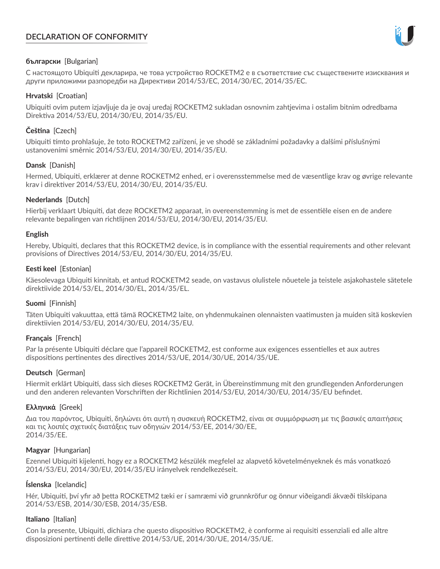# **DECLARATION OF CONFORMITY**



# **български** [Bulgarian]

С настоящото Ubiquiti декларира, че това устройство ROCKETM2 е в съответствие със съществените изисквания и други приложими разпоредби на Директиви 2014/53/EC, 2014/30/ЕС, 2014/35/ЕС.

## **Hrvatski** [Croatian]

Ubiquiti ovim putem izjavljuje da je ovaj uređaj ROCKETM2 sukladan osnovnim zahtjevima i ostalim bitnim odredbama Direktiva 2014/53/EU, 2014/30/EU, 2014/35/EU.

# **Čeština** [Czech]

Ubiquiti tímto prohlašuje, že toto ROCKETM2 zařízení, je ve shodě se základními požadavky a dalšími příslušnými ustanoveními směrnic 2014/53/EU, 2014/30/EU, 2014/35/EU.

# **Dansk** [Danish]

Hermed, Ubiquiti, erklærer at denne ROCKETM2 enhed, er i overensstemmelse med de væsentlige krav og øvrige relevante krav i direktiver 2014/53/EU, 2014/30/EU, 2014/35/EU.

# **Nederlands** [Dutch]

Hierbij verklaart Ubiquiti, dat deze ROCKETM2 apparaat, in overeenstemming is met de essentiële eisen en de andere relevante bepalingen van richtlijnen 2014/53/EU, 2014/30/EU, 2014/35/EU.

## **English**

Hereby, Ubiquiti, declares that this ROCKETM2 device, is in compliance with the essential requirements and other relevant provisions of Directives 2014/53/EU, 2014/30/EU, 2014/35/EU.

# **Eesti keel** [Estonian]

Käesolevaga Ubiquiti kinnitab, et antud ROCKETM2 seade, on vastavus olulistele nõuetele ja teistele asjakohastele sätetele direktiivide 2014/53/EL, 2014/30/EL, 2014/35/EL.

## **Suomi** [Finnish]

Täten Ubiquiti vakuuttaa, että tämä ROCKETM2 laite, on yhdenmukainen olennaisten vaatimusten ja muiden sitä koskevien direktiivien 2014/53/EU, 2014/30/EU, 2014/35/EU.

## **Français** [French]

Par la présente Ubiquiti déclare que l'appareil ROCKETM2, est conforme aux exigences essentielles et aux autres dispositions pertinentes des directives 2014/53/UE, 2014/30/UE, 2014/35/UE.

## **Deutsch** [German]

Hiermit erklärt Ubiquiti, dass sich dieses ROCKETM2 Gerät, in Übereinstimmung mit den grundlegenden Anforderungen und den anderen relevanten Vorschriften der Richtlinien 2014/53/EU, 2014/30/EU, 2014/35/EU befindet.

## **Ελληνικά** [Greek]

Δια του παρόντος, Ubiquiti, δηλώνει ότι αυτή η συσκευή ROCKETM2, είναι σε συμμόρφωση με τις βασικές απαιτήσεις και τις λοιπές σχετικές διατάξεις των οδηγιών 2014/53/EE, 2014/30/EE, 2014/35/EE.

## **Magyar** [Hungarian]

Ezennel Ubiquiti kijelenti, hogy ez a ROCKETM2 készülék megfelel az alapvető követelményeknek és más vonatkozó 2014/53/EU, 2014/30/EU, 2014/35/EU irányelvek rendelkezéseit.

## **Íslenska** [Icelandic]

Hér, Ubiquiti, því yfir að þetta ROCKETM2 tæki er í samræmi við grunnkröfur og önnur viðeigandi ákvæði tilskipana 2014/53/ESB, 2014/30/ESB, 2014/35/ESB.

## **Italiano** [Italian]

Con la presente, Ubiquiti, dichiara che questo dispositivo ROCKETM2, è conforme ai requisiti essenziali ed alle altre disposizioni pertinenti delle direttive 2014/53/UE, 2014/30/UE, 2014/35/UE.